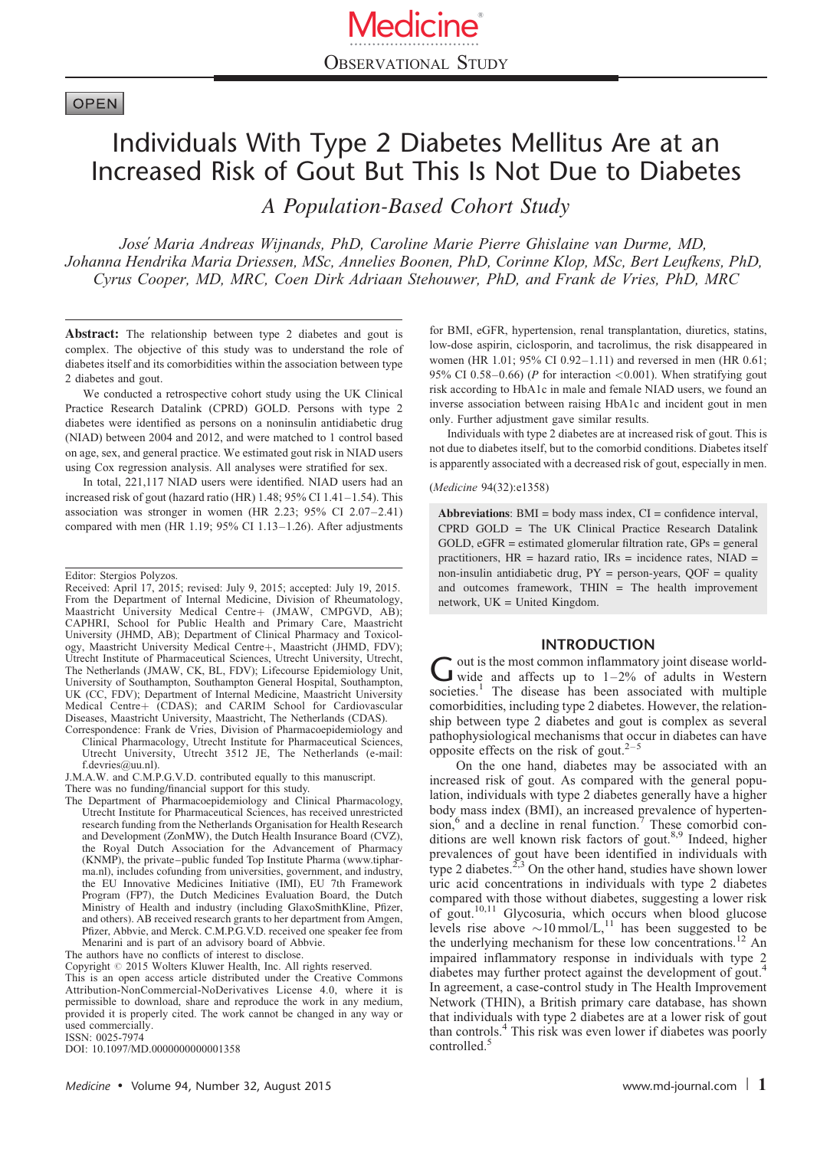# **OPEN**

# Individuals With Type 2 Diabetes Mellitus Are at an Increased Risk of Gout But This Is Not Due to Diabetes

A Population-Based Cohort Study

Jose´ Maria Andreas Wijnands, PhD, Caroline Marie Pierre Ghislaine van Durme, MD, Johanna Hendrika Maria Driessen, MSc, Annelies Boonen, PhD, Corinne Klop, MSc, Bert Leufkens, PhD, Cyrus Cooper, MD, MRC, Coen Dirk Adriaan Stehouwer, PhD, and Frank de Vries, PhD, MRC

Abstract: The relationship between type 2 diabetes and gout is complex. The objective of this study was to understand the role of diabetes itself and its comorbidities within the association between type 2 diabetes and gout.

We conducted a retrospective cohort study using the UK Clinical Practice Research Datalink (CPRD) GOLD. Persons with type 2 diabetes were identified as persons on a noninsulin antidiabetic drug (NIAD) between 2004 and 2012, and were matched to 1 control based on age, sex, and general practice. We estimated gout risk in NIAD users using Cox regression analysis. All analyses were stratified for sex.

In total, 221,117 NIAD users were identified. NIAD users had an increased risk of gout (hazard ratio (HR) 1.48; 95% CI 1.41–1.54). This association was stronger in women (HR 2.23; 95% CI 2.07–2.41) compared with men (HR 1.19; 95% CI 1.13–1.26). After adjustments

- Correspondence: Frank de Vries, Division of Pharmacoepidemiology and Clinical Pharmacology, Utrecht Institute for Pharmaceutical Sciences, Utrecht University, Utrecht 3512 JE, The Netherlands (e-mail: [f.devries@uu.nl](mailto:f.devries@uu.nl)).
- J.M.A.W. and C.M.P.G.V.D. contributed equally to this manuscript. There was no funding/financial support for this study.
- The Department of Pharmacoepidemiology and Clinical Pharmacology, Utrecht Institute for Pharmaceutical Sciences, has received unrestricted research funding from the Netherlands Organisation for Health Research and Development (ZonMW), the Dutch Health Insurance Board (CVZ), the Royal Dutch Association for the Advancement of Pharmacy (KNMP), the private–public funded Top Institute Pharma ([www.tiphar](http://www.tipharma.nl/)[ma.nl](http://www.tipharma.nl/)), includes cofunding from universities, government, and industry, the EU Innovative Medicines Initiative (IMI), EU 7th Framework Program (FP7), the Dutch Medicines Evaluation Board, the Dutch Ministry of Health and industry (including GlaxoSmithKline, Pfizer, and others). AB received research grants to her department from Amgen, Pfizer, Abbvie, and Merck. C.M.P.G.V.D. received one speaker fee from Menarini and is part of an advisory board of Abbvie.

The authors have no conflicts of interest to disclose.

Copyright  $\degree$  2015 Wolters Kluwer Health, Inc. All rights reserved.

This is an open access article distributed under the Creative Commons Attribution-NonCommercial-NoDerivatives License 4.0, where it is permissible to download, share and reproduce the work in any medium, provided it is properly cited. The work cannot be changed in any way or used commercially.

ISSN: 0025-7974

DOI: [10.1097/MD.0000000000001358](http://dx.doi.org/10.1097/MD.0000000000001358)

for BMI, eGFR, hypertension, renal transplantation, diuretics, statins, low-dose aspirin, ciclosporin, and tacrolimus, the risk disappeared in women (HR 1.01; 95% CI 0.92–1.11) and reversed in men (HR 0.61; 95% CI 0.58-0.66) (P for interaction  $\langle 0.001 \rangle$ . When stratifying gout risk according to HbA1c in male and female NIAD users, we found an inverse association between raising HbA1c and incident gout in men only. Further adjustment gave similar results.

Individuals with type 2 diabetes are at increased risk of gout. This is not due to diabetes itself, but to the comorbid conditions. Diabetes itself is apparently associated with a decreased risk of gout, especially in men.

#### (Medicine 94(32):e1358)

Abbreviations:  $BMI = body$  mass index,  $CI = confidence$  interval, CPRD GOLD = The UK Clinical Practice Research Datalink GOLD, eGFR = estimated glomerular filtration rate, GPs = general practitioners, HR = hazard ratio, IRs = incidence rates, NIAD = non-insulin antidiabetic drug,  $PY = person-years$ ,  $QOF = quality$ and outcomes framework, THIN = The health improvement network, UK = United Kingdom.

## INTRODUCTION

 $\sum_{\text{wide and}}$  out is the most common inflammatory joint disease world-<br>wide and affects up to 1–2% of adults in Western societies.<sup>[1](#page-5-0)</sup> The disease has been associated with multiple comorbidities, including type 2 diabetes. However, the relationship between type 2 diabetes and gout is complex as several pathophysiological mechanisms that occur in diabetes can have opposite effects on the risk of gout. $2<sup>-5</sup>$ 

On the one hand, diabetes may be associated with an increased risk of gout. As compared with the general population, individuals with type 2 diabetes generally have a higher body mass index (BMI), an increased prevalence of hyperten-sion,<sup>6</sup> and a decline in renal function.<sup>[7](#page-5-0)</sup> These comorbid conditions are well known risk factors of gout.<sup>8,9</sup> Indeed, higher prevalences of gout have been identified in individuals with type 2 diabetes. $2^{3}$  On the other hand, studies have shown lower uric acid concentrations in individuals with type 2 diabetes compared with those without diabetes, suggesting a lower risk of gout.<sup>10,11</sup> Glycosuria, which occurs when blood glucose levels rise above  $\sim 10 \text{ mmol/L}$ ,<sup>[11](#page-5-0)</sup> has been suggested to be the underlying mechanism for these low concentrations.<sup>[12](#page-5-0)</sup> An impaired inflammatory response in individuals with type 2 diabetes may further protect against the development of gout.[4](#page-5-0) In agreement, a case-control study in The Health Improvement Network (THIN), a British primary care database, has shown that individuals with type 2 diabetes are at a lower risk of gout than controls.[4](#page-5-0) This risk was even lower if diabetes was poorly controlled.<sup>[5](#page-5-0)</sup>

Editor: Stergios Polyzos.

Received: April 17, 2015; revised: July 9, 2015; accepted: July 19, 2015. From the Department of Internal Medicine, Division of Rheumatology, Maastricht University Medical Centre+ (JMAW, CMPGVD, AB); CAPHRI, School for Public Health and Primary Care, Maastricht University (JHMD, AB); Department of Clinical Pharmacy and Toxicology, Maastricht University Medical Centre+, Maastricht (JHMD, FDV); Utrecht Institute of Pharmaceutical Sciences, Utrecht University, Utrecht, The Netherlands (JMAW, CK, BL, FDV); Lifecourse Epidemiology Unit, University of Southampton, Southampton General Hospital, Southampton, UK (CC, FDV); Department of Internal Medicine, Maastricht University Medical Centreþ (CDAS); and CARIM School for Cardiovascular Diseases, Maastricht University, Maastricht, The Netherlands (CDAS).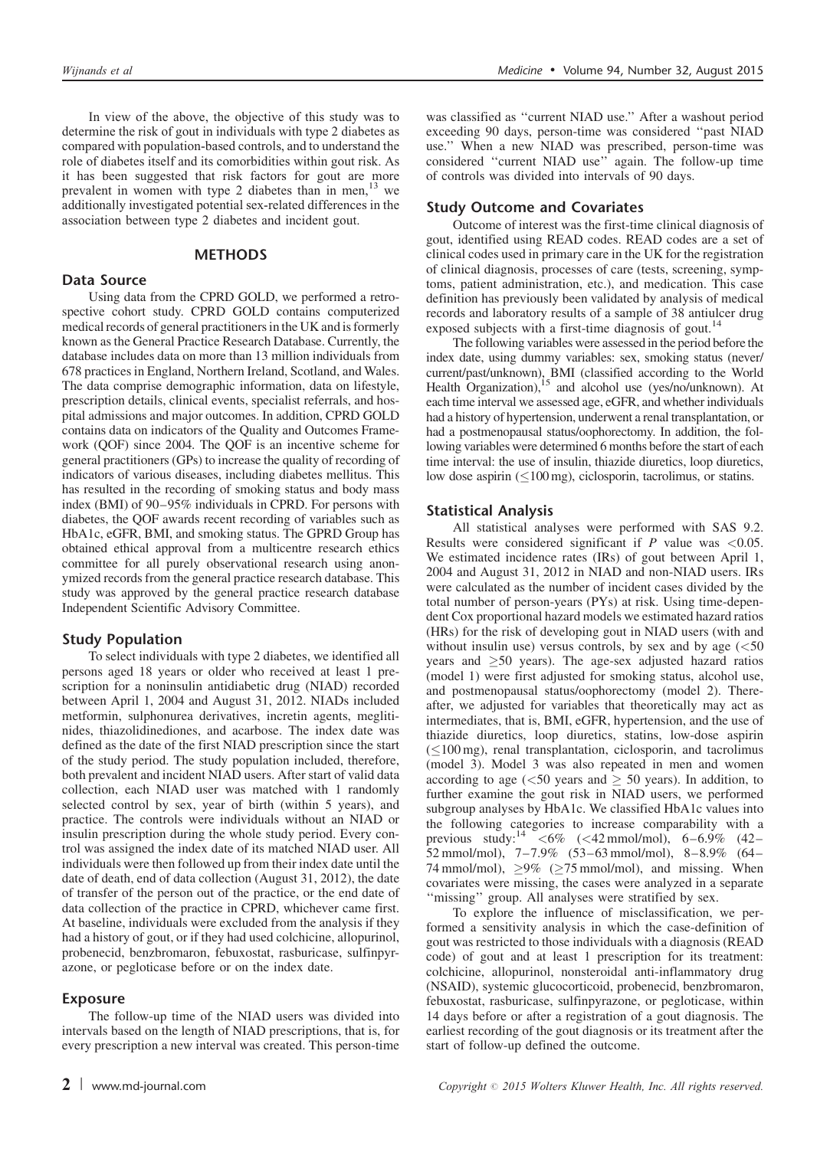In view of the above, the objective of this study was to determine the risk of gout in individuals with type 2 diabetes as compared with population-based controls, and to understand the role of diabetes itself and its comorbidities within gout risk. As it has been suggested that risk factors for gout are more prevalent in women with type 2 diabetes than in men,<sup>[13](#page-5-0)</sup> we additionally investigated potential sex-related differences in the association between type 2 diabetes and incident gout.

#### METHODS

## Data Source

Using data from the CPRD GOLD, we performed a retrospective cohort study. CPRD GOLD contains computerized medical records of general practitioners in the UK and is formerly known as the General Practice Research Database. Currently, the database includes data on more than 13 million individuals from 678 practices in England, Northern Ireland, Scotland, and Wales. The data comprise demographic information, data on lifestyle, prescription details, clinical events, specialist referrals, and hospital admissions and major outcomes. In addition, CPRD GOLD contains data on indicators of the Quality and Outcomes Framework (QOF) since 2004. The QOF is an incentive scheme for general practitioners (GPs) to increase the quality of recording of indicators of various diseases, including diabetes mellitus. This has resulted in the recording of smoking status and body mass index (BMI) of 90–95% individuals in CPRD. For persons with diabetes, the QOF awards recent recording of variables such as HbA1c, eGFR, BMI, and smoking status. The GPRD Group has obtained ethical approval from a multicentre research ethics committee for all purely observational research using anonymized records from the general practice research database. This study was approved by the general practice research database Independent Scientific Advisory Committee.

#### Study Population

To select individuals with type 2 diabetes, we identified all persons aged 18 years or older who received at least 1 prescription for a noninsulin antidiabetic drug (NIAD) recorded between April 1, 2004 and August 31, 2012. NIADs included metformin, sulphonurea derivatives, incretin agents, meglitinides, thiazolidinediones, and acarbose. The index date was defined as the date of the first NIAD prescription since the start of the study period. The study population included, therefore, both prevalent and incident NIAD users. After start of valid data collection, each NIAD user was matched with 1 randomly selected control by sex, year of birth (within 5 years), and practice. The controls were individuals without an NIAD or insulin prescription during the whole study period. Every control was assigned the index date of its matched NIAD user. All individuals were then followed up from their index date until the date of death, end of data collection (August 31, 2012), the date of transfer of the person out of the practice, or the end date of data collection of the practice in CPRD, whichever came first. At baseline, individuals were excluded from the analysis if they had a history of gout, or if they had used colchicine, allopurinol, probenecid, benzbromaron, febuxostat, rasburicase, sulfinpyrazone, or pegloticase before or on the index date.

#### Exposure

The follow-up time of the NIAD users was divided into intervals based on the length of NIAD prescriptions, that is, for every prescription a new interval was created. This person-time was classified as ''current NIAD use.'' After a washout period exceeding 90 days, person-time was considered ''past NIAD use.'' When a new NIAD was prescribed, person-time was considered ''current NIAD use'' again. The follow-up time of controls was divided into intervals of 90 days.

#### Study Outcome and Covariates

Outcome of interest was the first-time clinical diagnosis of gout, identified using READ codes. READ codes are a set of clinical codes used in primary care in the UK for the registration of clinical diagnosis, processes of care (tests, screening, symptoms, patient administration, etc.), and medication. This case definition has previously been validated by analysis of medical records and laboratory results of a sample of 38 antiulcer drug exposed subjects with a first-time diagnosis of gout.<sup>14</sup>

The following variables were assessed in the period before the index date, using dummy variables: sex, smoking status (never/ current/past/unknown), BMI (classified according to the World Health Organization), $15$  and alcohol use (yes/no/unknown). At each time interval we assessed age, eGFR, and whether individuals had a history of hypertension, underwent a renal transplantation, or had a postmenopausal status/oophorectomy. In addition, the following variables were determined 6 months before the start of each time interval: the use of insulin, thiazide diuretics, loop diuretics, low dose aspirin  $(\leq 100 \text{ mg})$ , ciclosporin, tacrolimus, or statins.

#### Statistical Analysis

All statistical analyses were performed with SAS 9.2. Results were considered significant if  $P$  value was <0.05. We estimated incidence rates (IRs) of gout between April 1, 2004 and August 31, 2012 in NIAD and non-NIAD users. IRs were calculated as the number of incident cases divided by the total number of person-years (PYs) at risk. Using time-dependent Cox proportional hazard models we estimated hazard ratios (HRs) for the risk of developing gout in NIAD users (with and without insulin use) versus controls, by sex and by age  $\left( \langle 50 \rangle \right)$ years and  $\geq 50$  years). The age-sex adjusted hazard ratios (model 1) were first adjusted for smoking status, alcohol use, and postmenopausal status/oophorectomy (model 2). Thereafter, we adjusted for variables that theoretically may act as intermediates, that is, BMI, eGFR, hypertension, and the use of thiazide diuretics, loop diuretics, statins, low-dose aspirin  $(\leq100 \text{ mg})$ , renal transplantation, ciclosporin, and tacrolimus (model 3). Model 3 was also repeated in men and women according to age ( $\leq 50$  years and  $\geq 50$  years). In addition, to further examine the gout risk in NIAD users, we performed subgroup analyses by HbA1c. We classified HbA1c values into the following categories to increase comparability with a previous study:<sup>[14](#page-5-0)</sup> <6% (<42 mmol/mol), 6–6.9% (42– 52 mmol/mol), 7–7.9% (53–63 mmol/mol), 8–8.9% (64– 74 mmol/mol),  $\geq 9\%$  ( $\geq 75$  mmol/mol), and missing. When covariates were missing, the cases were analyzed in a separate "missing" group. All analyses were stratified by sex.

To explore the influence of misclassification, we performed a sensitivity analysis in which the case-definition of gout was restricted to those individuals with a diagnosis (READ code) of gout and at least 1 prescription for its treatment: colchicine, allopurinol, nonsteroidal anti-inflammatory drug (NSAID), systemic glucocorticoid, probenecid, benzbromaron, febuxostat, rasburicase, sulfinpyrazone, or pegloticase, within 14 days before or after a registration of a gout diagnosis. The earliest recording of the gout diagnosis or its treatment after the start of follow-up defined the outcome.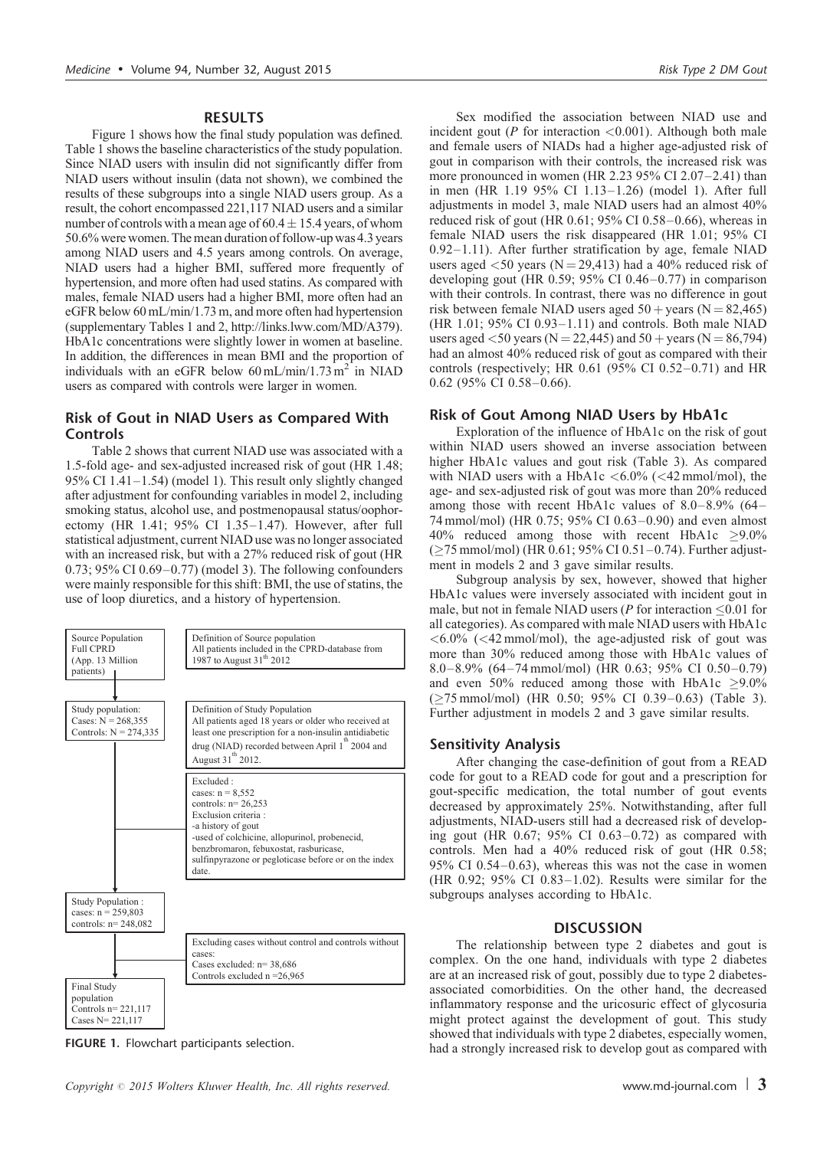#### RESULTS

Figure 1 shows how the final study population was defined. [Table 1](#page-3-0) shows the baseline characteristics of the study population. Since NIAD users with insulin did not significantly differ from NIAD users without insulin (data not shown), we combined the results of these subgroups into a single NIAD users group. As a result, the cohort encompassed 221,117 NIAD users and a similar number of controls with a mean age of  $60.4 \pm 15.4$  years, of whom 50.6% were women. The mean duration of follow-up was 4.3 years among NIAD users and 4.5 years among controls. On average, NIAD users had a higher BMI, suffered more frequently of hypertension, and more often had used statins. As compared with males, female NIAD users had a higher BMI, more often had an eGFR below 60 mL/min/1.73 m, and more often had hypertension (supplementary Tables 1 and 2,<http://links.lww.com/MD/A379>). HbA1c concentrations were slightly lower in women at baseline. In addition, the differences in mean BMI and the proportion of individuals with an eGFR below  $60 \text{ mL/min}/1.73 \text{ m}^2$  in NIAD users as compared with controls were larger in women.

## Risk of Gout in NIAD Users as Compared With **Controls**

[Table 2](#page-4-0) shows that current NIAD use was associated with a 1.5-fold age- and sex-adjusted increased risk of gout (HR 1.48; 95% CI 1.41–1.54) (model 1). This result only slightly changed after adjustment for confounding variables in model 2, including smoking status, alcohol use, and postmenopausal status/oophorectomy (HR 1.41; 95% CI 1.35–1.47). However, after full statistical adjustment, current NIAD use was no longer associated with an increased risk, but with a 27% reduced risk of gout (HR 0.73; 95% CI 0.69–0.77) (model 3). The following confounders were mainly responsible for this shift: BMI, the use of statins, the use of loop diuretics, and a history of hypertension.



FIGURE 1. Flowchart participants selection.

Sex modified the association between NIAD use and incident gout ( $P$  for interaction <0.001). Although both male and female users of NIADs had a higher age-adjusted risk of gout in comparison with their controls, the increased risk was more pronounced in women (HR 2.23 95% CI 2.07-2.41) than in men (HR 1.19 95% CI 1.13–1.26) (model 1). After full adjustments in model 3, male NIAD users had an almost 40% reduced risk of gout (HR 0.61; 95% CI 0.58–0.66), whereas in female NIAD users the risk disappeared (HR 1.01; 95% CI 0.92–1.11). After further stratification by age, female NIAD users aged  $\langle 50 \rangle$  years (N = 29,413) had a 40% reduced risk of developing gout (HR 0.59; 95% CI 0.46–0.77) in comparison with their controls. In contrast, there was no difference in gout risk between female NIAD users aged  $50 + \text{years}$  (N = 82,465) (HR 1.01; 95% CI 0.93–1.11) and controls. Both male NIAD users aged  $\langle 50 \text{ years}$  (N = 22,445) and 50 + years (N = 86,794) had an almost 40% reduced risk of gout as compared with their controls (respectively; HR 0.61 (95% CI 0.52–0.71) and HR 0.62 (95% CI 0.58–0.66).

# Risk of Gout Among NIAD Users by HbA1c

Exploration of the influence of HbA1c on the risk of gout within NIAD users showed an inverse association between higher HbA1c values and gout risk [\(Table 3](#page-4-0)). As compared with NIAD users with a HbA1c  $\lt$  6.0% ( $\lt$  42 mmol/mol), the age- and sex-adjusted risk of gout was more than 20% reduced among those with recent HbA1c values of 8.0–8.9% (64– 74 mmol/mol) (HR 0.75; 95% CI 0.63–0.90) and even almost  $40\%$  reduced among those with recent HbA1c  $>9.0\%$  $(\geq 75 \text{ mmol/mol})$  (HR 0.61; 95% CI 0.51-0.74). Further adjustment in models 2 and 3 gave similar results.

Subgroup analysis by sex, however, showed that higher HbA1c values were inversely associated with incident gout in male, but not in female NIAD users ( $P$  for interaction  $\leq 0.01$  for all categories). As compared with male NIAD users with HbA1c  $\langle 6.0\% \rangle$  ( $\langle 42 \text{mmol/mol} \rangle$ , the age-adjusted risk of gout was more than 30% reduced among those with HbA1c values of 8.0–8.9% (64–74 mmol/mol) (HR 0.63; 95% CI 0.50–0.79) and even 50% reduced among those with HbA1c  $\geq$ 9.0% (75 mmol/mol) (HR 0.50; 95% CI 0.39–0.63) [\(Table 3](#page-4-0)). Further adjustment in models 2 and 3 gave similar results.

## Sensitivity Analysis

After changing the case-definition of gout from a READ code for gout to a READ code for gout and a prescription for gout-specific medication, the total number of gout events decreased by approximately 25%. Notwithstanding, after full adjustments, NIAD-users still had a decreased risk of developing gout (HR 0.67; 95% CI 0.63–0.72) as compared with controls. Men had a 40% reduced risk of gout (HR 0.58; 95% CI 0.54–0.63), whereas this was not the case in women (HR 0.92; 95% CI 0.83–1.02). Results were similar for the subgroups analyses according to HbA1c.

# **DISCUSSION**

The relationship between type 2 diabetes and gout is complex. On the one hand, individuals with type 2 diabetes are at an increased risk of gout, possibly due to type 2 diabetesassociated comorbidities. On the other hand, the decreased inflammatory response and the uricosuric effect of glycosuria might protect against the development of gout. This study showed that individuals with type 2 diabetes, especially women, had a strongly increased risk to develop gout as compared with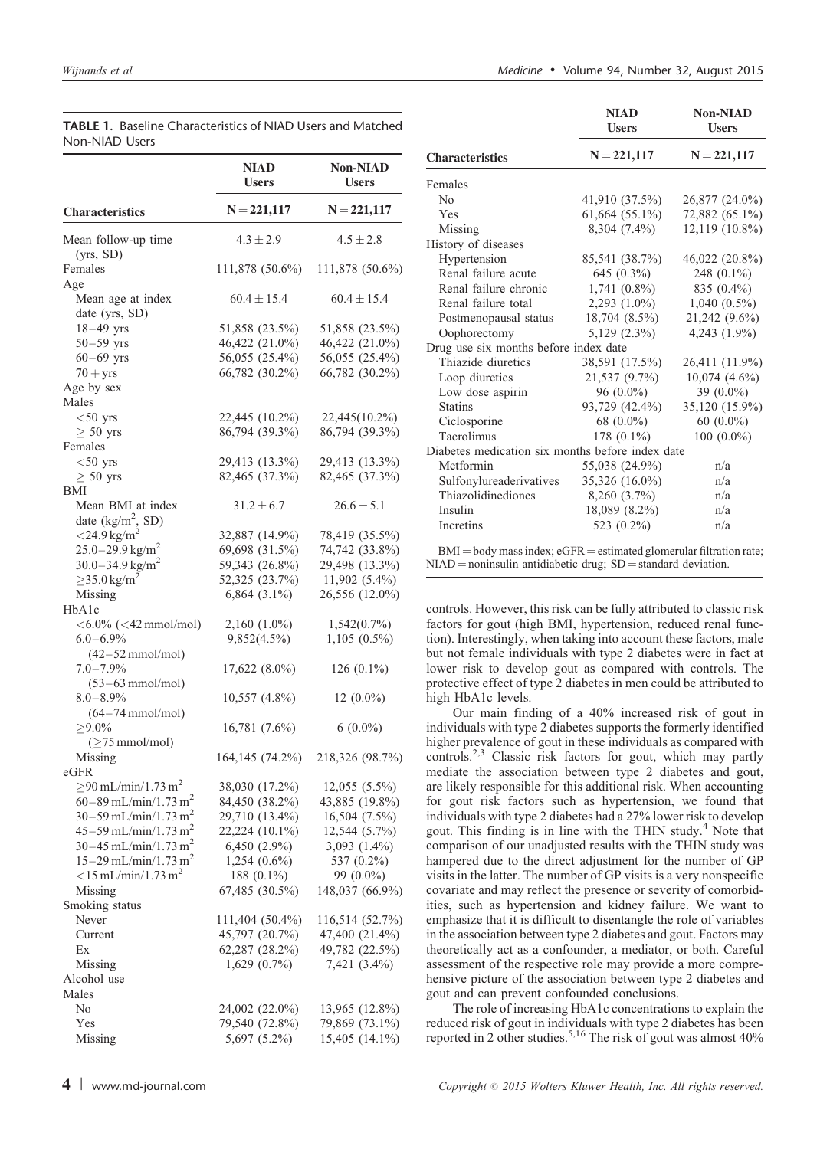Non-NIAD

NIAD

| Non-NIAD Users                       |                                   |                                 |  |
|--------------------------------------|-----------------------------------|---------------------------------|--|
|                                      | <b>NIAD</b><br><b>Users</b>       | <b>Non-NIAD</b><br><b>Users</b> |  |
| <b>Characteristics</b>               | $N = 221,117$                     | $N = 221,117$                   |  |
| Mean follow-up time<br>(yrs, SD)     | $4.3 \pm 2.9$                     | $4.5 \pm 2.8$                   |  |
| Females                              | 111,878 (50.6%)                   | 111,878 (50.6%)                 |  |
| Age                                  |                                   |                                 |  |
| Mean age at index<br>date (yrs, SD)  | $60.4 \pm 15.4$                   | $60.4 \pm 15.4$                 |  |
| $18 - 49$ yrs                        | 51,858 (23.5%)                    | 51,858 (23.5%)                  |  |
| $50 - 59$ yrs                        | 46,422 (21.0%)                    | 46,422 (21.0%)                  |  |
| $60 - 69$ yrs                        | 56,055 (25.4%)                    | 56,055 (25.4%)                  |  |
| $70 + yrs$                           | 66,782 (30.2%)                    | 66,782 (30.2%)                  |  |
| Age by sex                           |                                   |                                 |  |
| Males                                |                                   |                                 |  |
| $<$ 50 yrs                           | 22,445 (10.2%)                    | 22,445(10.2%)                   |  |
| $\geq 50$ yrs                        | 86,794 (39.3%)                    | 86,794 (39.3%)                  |  |
| Females                              |                                   |                                 |  |
| $<$ 50 yrs                           | 29,413 (13.3%)                    | 29,413 (13.3%)                  |  |
| $\geq 50$ yrs<br>BMI                 | 82,465 (37.3%)                    | 82,465 (37.3%)                  |  |
| Mean BMI at index                    | $31.2 \pm 6.7$                    | $26.6 \pm 5.1$                  |  |
| date ( $\text{kg/m}^2$ , SD)         |                                   |                                 |  |
| $<$ 24.9 kg/m <sup>2</sup>           | 32,887 (14.9%)                    | 78,419 (35.5%)                  |  |
| $25.0 - 29.9$ kg/m <sup>2</sup>      | 69,698 (31.5%)                    | 74,742 (33.8%)                  |  |
| $30.0 - 34.9$ kg/m <sup>2</sup>      | 59,343 (26.8%)                    | 29,498 (13.3%)                  |  |
| $\geq$ 35.0 kg/m <sup>2</sup>        | 52,325 (23.7%)                    | $11,902(5.4\%)$                 |  |
| Missing                              | $6,864$ $(3.1\%)$                 | 26,556 (12.0%)                  |  |
| HbA1c                                |                                   |                                 |  |
| $<$ 6.0% ( $<$ 42 mmol/mol)          | $2,160(1.0\%)$                    | $1,542(0.7\%)$                  |  |
| $6.0 - 6.9\%$                        | $9,852(4.5\%)$                    | $1,105(0.5\%)$                  |  |
| $(42-52$ mmol/mol)                   |                                   |                                 |  |
| $7.0 - 7.9\%$<br>$(53-63$ mmol/mol)  | $17,622(8.0\%)$                   | $126(0.1\%)$                    |  |
| $8.0 - 8.9\%$                        | $10,557$ $(4.8\%)$                | $12(0.0\%)$                     |  |
| $(64-74$ mmol/mol)                   |                                   |                                 |  |
| ${\ge}9.0\%$                         | $16,781(7.6\%)$                   | $6(0.0\%)$                      |  |
| $(\geq 75$ mmol/mol)                 |                                   |                                 |  |
| Missing                              | 164,145 (74.2%)                   | 218,326 (98.7%)                 |  |
| eGFR                                 |                                   |                                 |  |
| $\geq$ 90 mL/min/1.73 m <sup>2</sup> | 38,030 (17.2%)                    | 12,055 (5.5%)                   |  |
| 60–89 mL/min/1.73 m <sup>2</sup>     | 84,450 (38.2%)                    | 43,885 (19.8%)                  |  |
| $30 - 59$ mL/min/1.73 m <sup>2</sup> | 29,710 (13.4%)                    | 16,504 (7.5%)                   |  |
| $45 - 59$ mL/min/1.73 m <sup>2</sup> | 22,224 (10.1%)                    | 12,544 (5.7%)                   |  |
| $30 - 45$ mL/min/1.73 m <sup>2</sup> | 6,450 (2.9%)                      | 3,093 $(1.4\%)$                 |  |
| $15 - 29$ mL/min/1.73 m <sup>2</sup> | $1,254(0.6\%)$                    | 537 (0.2%)                      |  |
| $<$ 15 mL/min/1.73 m <sup>2</sup>    | 188 $(0.1\%)$                     | 99 (0.0%)                       |  |
| Missing                              | 67,485 (30.5%)                    | 148,037 (66.9%)                 |  |
| Smoking status<br>Never              |                                   | 116,514 (52.7%)                 |  |
| Current                              | 111,404 (50.4%)<br>45,797 (20.7%) | 47,400 (21.4%)                  |  |
| Ex                                   | 62,287 (28.2%)                    | 49,782 (22.5%)                  |  |
| Missing                              | 1,629 (0.7%)                      | 7,421 (3.4%)                    |  |
| Alcohol use                          |                                   |                                 |  |
| Males                                |                                   |                                 |  |
| No                                   | 24,002 (22.0%)                    | 13,965 (12.8%)                  |  |
| Yes                                  | 79,540 (72.8%)                    | 79,869 (73.1%)                  |  |
| Missing                              | 5,697 (5.2%)                      | 15,405 (14.1%)                  |  |

<span id="page-3-0"></span>

|                | <b>TABLE 1.</b> Baseline Characteristics of NIAD Users and Matched |  |
|----------------|--------------------------------------------------------------------|--|
| Non-NIAD Users |                                                                    |  |

|                                                  | NIAD<br><b>Users</b> | NOII-NIAD<br><b>Users</b> |  |
|--------------------------------------------------|----------------------|---------------------------|--|
| <b>Characteristics</b>                           | $N = 221,117$        | $N = 221,117$             |  |
| Females                                          |                      |                           |  |
| N <sub>0</sub>                                   | 41,910 (37.5%)       | 26,877 (24.0%)            |  |
| Yes                                              | $61,664$ $(55.1\%)$  | 72,882 (65.1%)            |  |
| Missing                                          | 8,304 (7.4%)         | 12,119 (10.8%)            |  |
| History of diseases                              |                      |                           |  |
| Hypertension                                     | 85,541 (38.7%)       | 46,022 (20.8%)            |  |
| Renal failure acute                              | 645 $(0.3\%)$        | 248 $(0.1\%)$             |  |
| Renal failure chronic                            | $1,741(0.8\%)$       | 835 (0.4%)                |  |
| Renal failure total                              | $2,293$ $(1.0\%)$    | $1,040(0.5\%)$            |  |
| Postmenopausal status                            | $18,704(8.5\%)$      | 21,242 (9.6%)             |  |
| Oophorectomy                                     | $5,129(2.3\%)$       | $4,243(1.9\%)$            |  |
| Drug use six months before index date            |                      |                           |  |
| Thiazide diuretics                               | 38,591 (17.5%)       | 26,411 (11.9%)            |  |
| Loop diuretics                                   | 21,537 (9.7%)        | $10,074$ $(4.6\%)$        |  |
| Low dose aspirin                                 | $96(0.0\%)$          | 39 $(0.0\%)$              |  |
| <b>Statins</b>                                   | 93,729 (42.4%)       | 35,120 (15.9%)            |  |
| Ciclosporine                                     | 68 $(0.0\%)$         | 60 $(0.0\%)$              |  |
| Tacrolimus                                       | 178 $(0.1\%)$        | $100(0.0\%)$              |  |
| Diabetes medication six months before index date |                      |                           |  |
| Metformin                                        | 55,038 (24.9%)       | n/a                       |  |
| Sulfonylureaderivatives                          | 35,326 (16.0%)       | n/a                       |  |
| Thiazolidinediones                               | 8,260 (3.7%)         | n/a                       |  |
| Insulin                                          | 18,089 (8.2%)        | n/a                       |  |
| Incretins                                        | 523 (0.2%)           | n/a                       |  |

 $BMI = body$  mass index;  $eGFR =$  estimated glomerular filtration rate;  $NIAD =$  noninsulin antidiabetic drug;  $SD =$  standard deviation.

controls. However, this risk can be fully attributed to classic risk factors for gout (high BMI, hypertension, reduced renal function). Interestingly, when taking into account these factors, male but not female individuals with type 2 diabetes were in fact at lower risk to develop gout as compared with controls. The protective effect of type 2 diabetes in men could be attributed to high HbA1c levels.

Our main finding of a 40% increased risk of gout in individuals with type 2 diabetes supports the formerly identified higher prevalence of gout in these individuals as compared with controls.[2,3](#page-5-0) Classic risk factors for gout, which may partly mediate the association between type 2 diabetes and gout, are likely responsible for this additional risk. When accounting for gout risk factors such as hypertension, we found that individuals with type 2 diabetes had a 27% lower risk to develop gout. This finding is in line with the THIN study. $4^4$  $4^4$  Note that comparison of our unadjusted results with the THIN study was hampered due to the direct adjustment for the number of GP visits in the latter. The number of GP visits is a very nonspecific covariate and may reflect the presence or severity of comorbidities, such as hypertension and kidney failure. We want to emphasize that it is difficult to disentangle the role of variables in the association between type 2 diabetes and gout. Factors may theoretically act as a confounder, a mediator, or both. Careful assessment of the respective role may provide a more comprehensive picture of the association between type 2 diabetes and gout and can prevent confounded conclusions.

The role of increasing HbA1c concentrations to explain the reduced risk of gout in individuals with type 2 diabetes has been reported in 2 other studies[.5,16](#page-5-0) The risk of gout was almost 40%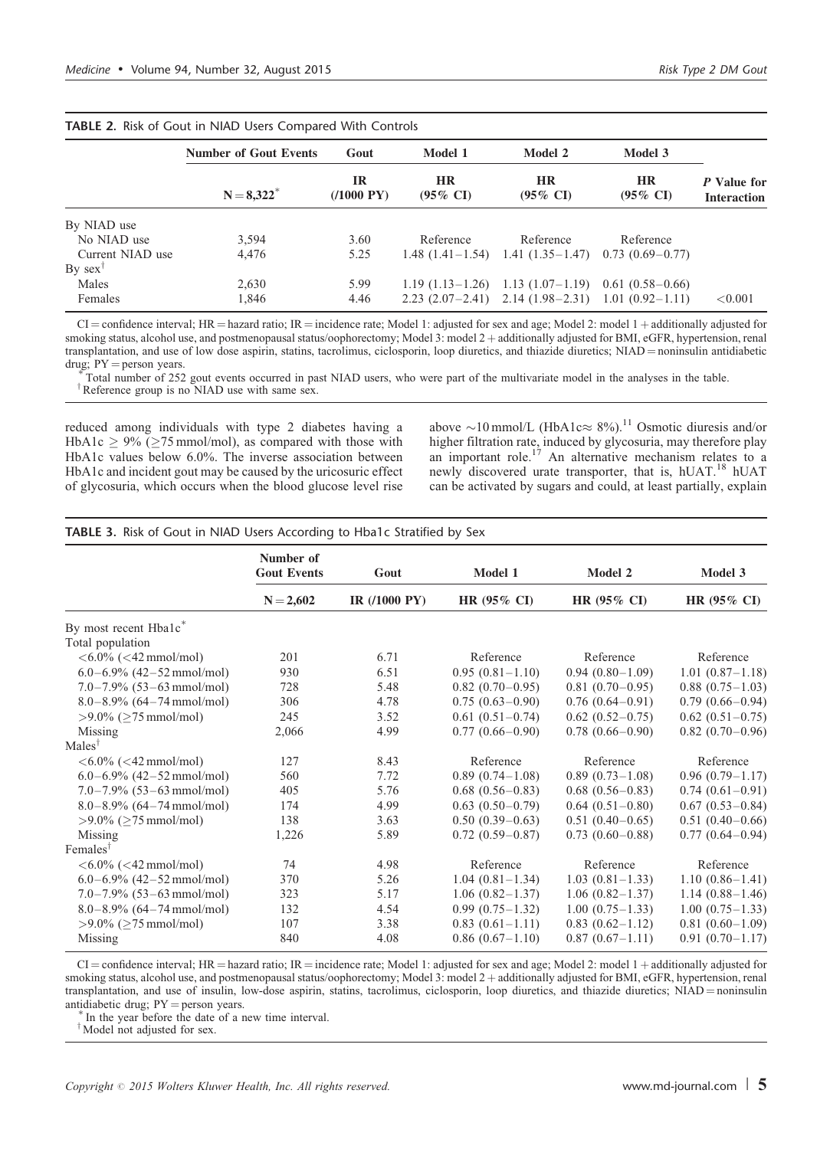|                       | <b>Number of Gout Events</b> | Gout                             | Model 1                          | Model 2                                   | Model 3                          |                                   |
|-----------------------|------------------------------|----------------------------------|----------------------------------|-------------------------------------------|----------------------------------|-----------------------------------|
|                       | $N = 8,322^*$                | <b>IR</b><br>$(1000 \text{ PY})$ | <b>HR</b><br>$(95\% \text{ CI})$ | <b>HR</b><br>$(95\% \text{ CI})$          | <b>HR</b><br>$(95\% \text{ CI})$ | P Value for<br><b>Interaction</b> |
| By NIAD use           |                              |                                  |                                  |                                           |                                  |                                   |
| No NIAD use           | 3,594                        | 3.60                             | Reference                        | Reference                                 | Reference                        |                                   |
| Current NIAD use      | 4.476                        | 5.25                             |                                  | $1.48$ $(1.41-1.54)$ $1.41$ $(1.35-1.47)$ | $0.73(0.69 - 0.77)$              |                                   |
| $By$ sex <sup>1</sup> |                              |                                  |                                  |                                           |                                  |                                   |
| Males                 | 2,630                        | 5.99                             |                                  | $1.19(1.13-1.26)$ $1.13(1.07-1.19)$       | $0.61(0.58-0.66)$                |                                   |
| Females               | 1,846                        | 4.46                             |                                  | $2.23(2.07-2.41)$ $2.14(1.98-2.31)$       | $1.01(0.92 - 1.11)$              | < 0.001                           |

<span id="page-4-0"></span>TABLE 2. Risk of Gout in NIAD Users Compared With Controls

 $CI =$  confidence interval; HR = hazard ratio; IR = incidence rate; Model 1: adjusted for sex and age; Model 2: model 1 + additionally adjusted for smoking status, alcohol use, and postmenopausal status/oophorectomy; Model 3: model 2 + additionally adjusted for BMI, eGFR, hypertension, renal transplantation, and use of low dose aspirin, statins, tacrolimus, ciclosporin, loop diuretics, and thiazide diuretics; NIAD = noninsulin antidiabetic drug;  $PY$  = person years.

Total number of 252 gout events occurred in past NIAD users, who were part of the multivariate model in the analyses in the table. <sup>†</sup>Reference group is no NIAD use with same sex.

reduced among individuals with type 2 diabetes having a HbA1c  $\geq$  9% ( $\geq$ 75 mmol/mol), as compared with those with HbA1c values below 6.0%. The inverse association between HbA1c and incident gout may be caused by the uricosuric effect of glycosuria, which occurs when the blood glucose level rise above  $\sim$ 10 mmol/L (HbA1c $\approx$  8%).<sup>11</sup> Osmotic diuresis and/or higher filtration rate, induced by glycosuria, may therefore play<br>an important role.<sup>[17](#page-6-0)</sup> An alternative mechanism relates to a newly discovered urate transporter, that is, hUAT.<sup>[18](#page-6-0)</sup> hUAT can be activated by sugars and could, at least partially, explain

## TABLE 3. Risk of Gout in NIAD Users According to Hba1c Stratified by Sex

|                                                            | Number of<br><b>Gout Events</b> | Gout          | Model 1                | Model 2                | Model 3                |
|------------------------------------------------------------|---------------------------------|---------------|------------------------|------------------------|------------------------|
|                                                            | $N = 2,602$                     | IR (/1000 PY) | HR $(95\% \text{ CI})$ | HR $(95\% \text{ CI})$ | HR $(95\% \text{ CI})$ |
| By most recent Hba1c <sup>*</sup>                          |                                 |               |                        |                        |                        |
| Total population                                           |                                 |               |                        |                        |                        |
| $< 6.0\%$ ( $< 42$ mmol/mol)                               | 201                             | 6.71          | Reference              | Reference              | Reference              |
| $6.0 - 6.9\%$ (42–52 mmol/mol)                             | 930                             | 6.51          | $0.95(0.81 - 1.10)$    | $0.94(0.80-1.09)$      | $1.01(0.87 - 1.18)$    |
| $7.0 - 7.9\%$ (53 – 63 mmol/mol)                           | 728                             | 5.48          | $0.82(0.70-0.95)$      | $0.81(0.70-0.95)$      | $0.88(0.75-1.03)$      |
| $8.0 - 8.9\%$ (64 – 74 mmol/mol)                           | 306                             | 4.78          | $0.75(0.63-0.90)$      | $0.76(0.64 - 0.91)$    | $0.79(0.66 - 0.94)$    |
| $>9.0\%$ ( $>75$ mmol/mol)                                 | 245                             | 3.52          | $0.61(0.51-0.74)$      | $0.62(0.52-0.75)$      | $0.62(0.51-0.75)$      |
| Missing                                                    | 2,066                           | 4.99          | $0.77(0.66 - 0.90)$    | $0.78(0.66 - 0.90)$    | $0.82(0.70-0.96)$      |
| $Males^{\dagger}$                                          |                                 |               |                        |                        |                        |
| $\langle 6.0\% \; (\langle 42 \; \text{mmol/mol}) \rangle$ | 127                             | 8.43          | Reference              | Reference              | Reference              |
| $6.0 - 6.9\%$ (42 – 52 mmol/mol)                           | 560                             | 7.72          | $0.89(0.74-1.08)$      | $0.89(0.73-1.08)$      | $0.96(0.79 - 1.17)$    |
| $7.0 - 7.9\%$ (53-63 mmol/mol)                             | 405                             | 5.76          | $0.68(0.56-0.83)$      | $0.68(0.56-0.83)$      | $0.74(0.61-0.91)$      |
| $8.0 - 8.9\%$ (64 – 74 mmol/mol)                           | 174                             | 4.99          | $0.63(0.50-0.79)$      | $0.64(0.51-0.80)$      | $0.67$ $(0.53 - 0.84)$ |
| $>9.0\%$ ( $>75$ mmol/mol)                                 | 138                             | 3.63          | $0.50(0.39-0.63)$      | $0.51(0.40-0.65)$      | $0.51(0.40-0.66)$      |
| Missing                                                    | 1,226                           | 5.89          | $0.72(0.59-0.87)$      | $0.73(0.60 - 0.88)$    | $0.77(0.64 - 0.94)$    |
| $F$ emales <sup>†</sup>                                    |                                 |               |                        |                        |                        |
| $< 6.0\%$ ( $< 42$ mmol/mol)                               | 74                              | 4.98          | Reference              | Reference              | Reference              |
| $6.0 - 6.9\%$ (42–52 mmol/mol)                             | 370                             | 5.26          | $1.04(0.81 - 1.34)$    | $1.03(0.81 - 1.33)$    | $1.10(0.86 - 1.41)$    |
| $7.0 - 7.9\%$ (53 – 63 mmol/mol)                           | 323                             | 5.17          | $1.06(0.82 - 1.37)$    | $1.06(0.82 - 1.37)$    | $1.14(0.88 - 1.46)$    |
| $8.0 - 8.9\%$ (64 – 74 mmol/mol)                           | 132                             | 4.54          | $0.99(0.75-1.32)$      | $1.00(0.75-1.33)$      | $1.00(0.75-1.33)$      |
| $>9.0\%$ ( $>75$ mmol/mol)                                 | 107                             | 3.38          | $0.83(0.61-1.11)$      | $0.83(0.62 - 1.12)$    | $0.81(0.60-1.09)$      |
| Missing                                                    | 840                             | 4.08          | $0.86(0.67-1.10)$      | $0.87(0.67-1.11)$      | $0.91(0.70 - 1.17)$    |

 $CI =$  confidence interval; HR = hazard ratio; IR = incidence rate; Model 1: adjusted for sex and age; Model 2: model 1 + additionally adjusted for smoking status, alcohol use, and postmenopausal status/oophorectomy; Model 3: model 2 + additionally adjusted for BMI, eGFR, hypertension, renal transplantation, and use of insulin, low-dose aspirin, statins, tacrolimus, ciclosporin, loop diuretics, and thiazide diuretics; NIAD = noninsulin antidiabetic drug;  $PY = person$  years.  $*$  In the year before the date of a new time interval.

Model not adjusted for sex.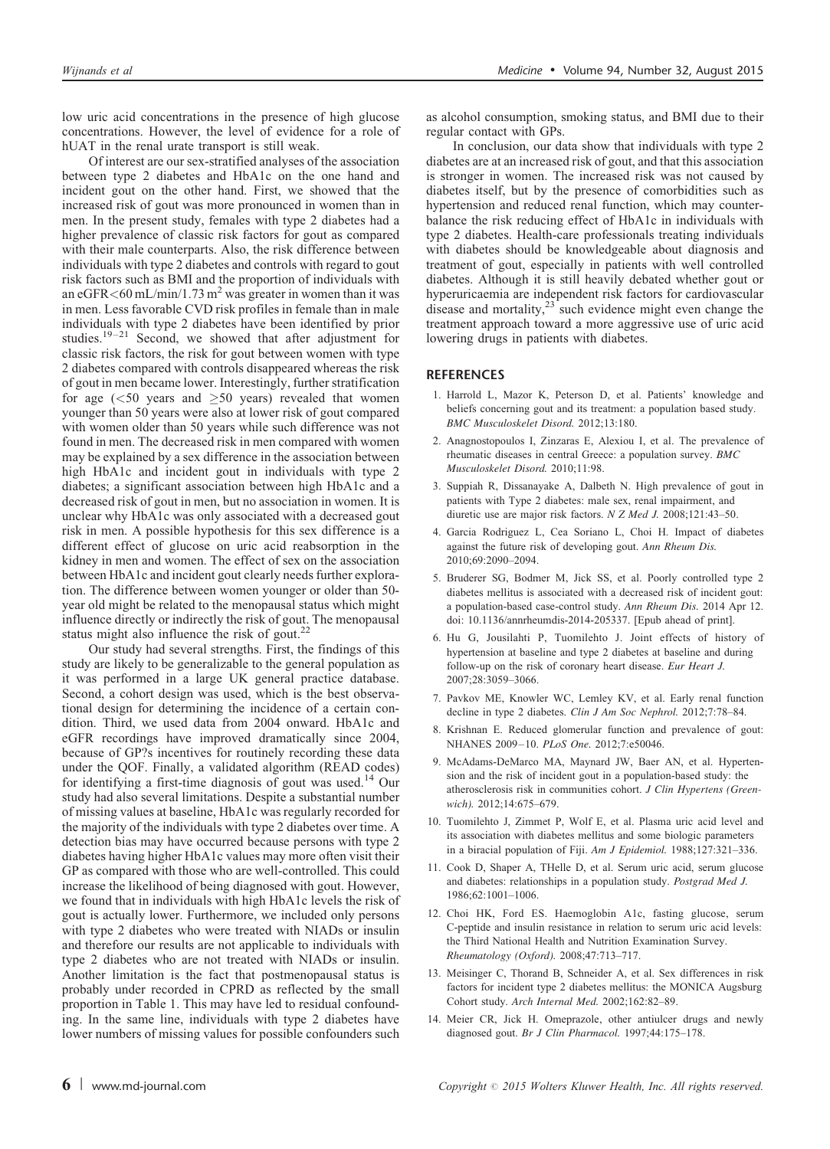<span id="page-5-0"></span>low uric acid concentrations in the presence of high glucose concentrations. However, the level of evidence for a role of hUAT in the renal urate transport is still weak.

Of interest are our sex-stratified analyses of the association between type 2 diabetes and HbA1c on the one hand and incident gout on the other hand. First, we showed that the increased risk of gout was more pronounced in women than in men. In the present study, females with type 2 diabetes had a higher prevalence of classic risk factors for gout as compared with their male counterparts. Also, the risk difference between individuals with type 2 diabetes and controls with regard to gout risk factors such as BMI and the proportion of individuals with an eGFR $<$ 60 mL/min/1.73 m<sup>2</sup> was greater in women than it was in men. Less favorable CVD risk profiles in female than in male individuals with type 2 diabetes have been identified by prior studies.<sup>[19–21](#page-6-0)</sup> Second, we showed that after adjustment for classic risk factors, the risk for gout between women with type 2 diabetes compared with controls disappeared whereas the risk of gout in men became lower. Interestingly, further stratification for age  $(<50$  years and  $\geq 50$  years) revealed that women younger than 50 years were also at lower risk of gout compared with women older than 50 years while such difference was not found in men. The decreased risk in men compared with women may be explained by a sex difference in the association between high HbA1c and incident gout in individuals with type 2 diabetes; a significant association between high HbA1c and a decreased risk of gout in men, but no association in women. It is unclear why HbA1c was only associated with a decreased gout risk in men. A possible hypothesis for this sex difference is a different effect of glucose on uric acid reabsorption in the kidney in men and women. The effect of sex on the association between HbA1c and incident gout clearly needs further exploration. The difference between women younger or older than 50 year old might be related to the menopausal status which might influence directly or indirectly the risk of gout. The menopausal status might also influence the risk of gout.<sup>2</sup>

Our study had several strengths. First, the findings of this study are likely to be generalizable to the general population as it was performed in a large UK general practice database. Second, a cohort design was used, which is the best observational design for determining the incidence of a certain condition. Third, we used data from 2004 onward. HbA1c and eGFR recordings have improved dramatically since 2004, because of GP?s incentives for routinely recording these data under the QOF. Finally, a validated algorithm (READ codes) for identifying a first-time diagnosis of gout was used.<sup>14</sup> Our study had also several limitations. Despite a substantial number of missing values at baseline, HbA1c was regularly recorded for the majority of the individuals with type 2 diabetes over time. A detection bias may have occurred because persons with type 2 diabetes having higher HbA1c values may more often visit their GP as compared with those who are well-controlled. This could increase the likelihood of being diagnosed with gout. However, we found that in individuals with high HbA1c levels the risk of gout is actually lower. Furthermore, we included only persons with type 2 diabetes who were treated with NIADs or insulin and therefore our results are not applicable to individuals with type 2 diabetes who are not treated with NIADs or insulin. Another limitation is the fact that postmenopausal status is probably under recorded in CPRD as reflected by the small proportion in [Table 1.](#page-3-0) This may have led to residual confounding. In the same line, individuals with type 2 diabetes have lower numbers of missing values for possible confounders such as alcohol consumption, smoking status, and BMI due to their regular contact with GPs.

In conclusion, our data show that individuals with type 2 diabetes are at an increased risk of gout, and that this association is stronger in women. The increased risk was not caused by diabetes itself, but by the presence of comorbidities such as hypertension and reduced renal function, which may counterbalance the risk reducing effect of HbA1c in individuals with type 2 diabetes. Health-care professionals treating individuals with diabetes should be knowledgeable about diagnosis and treatment of gout, especially in patients with well controlled diabetes. Although it is still heavily debated whether gout or hyperuricaemia are independent risk factors for cardiovascular disease and mortality, $23$  such evidence might even change the treatment approach toward a more aggressive use of uric acid lowering drugs in patients with diabetes.

## **REFERENCES**

- 1. Harrold L, Mazor K, Peterson D, et al. Patients' knowledge and beliefs concerning gout and its treatment: a population based study. BMC Musculoskelet Disord. 2012;13:180.
- 2. Anagnostopoulos I, Zinzaras E, Alexiou I, et al. The prevalence of rheumatic diseases in central Greece: a population survey. BMC Musculoskelet Disord. 2010;11:98.
- 3. Suppiah R, Dissanayake A, Dalbeth N. High prevalence of gout in patients with Type 2 diabetes: male sex, renal impairment, and diuretic use are major risk factors. N Z Med J. 2008;121:43–50.
- 4. Garcia Rodriguez L, Cea Soriano L, Choi H. Impact of diabetes against the future risk of developing gout. Ann Rheum Dis. 2010;69:2090–2094.
- 5. Bruderer SG, Bodmer M, Jick SS, et al. Poorly controlled type 2 diabetes mellitus is associated with a decreased risk of incident gout: a population-based case-control study. Ann Rheum Dis. 2014 Apr 12. doi: 10.1136/annrheumdis-2014-205337. [Epub ahead of print].
- 6. Hu G, Jousilahti P, Tuomilehto J. Joint effects of history of hypertension at baseline and type 2 diabetes at baseline and during follow-up on the risk of coronary heart disease. Eur Heart J. 2007;28:3059–3066.
- 7. Pavkov ME, Knowler WC, Lemley KV, et al. Early renal function decline in type 2 diabetes. Clin J Am Soc Nephrol. 2012;7:78–84.
- 8. Krishnan E. Reduced glomerular function and prevalence of gout: NHANES 2009–10. PLoS One. 2012;7:e50046.
- 9. McAdams-DeMarco MA, Maynard JW, Baer AN, et al. Hypertension and the risk of incident gout in a population-based study: the atherosclerosis risk in communities cohort. J Clin Hypertens (Greenwich). 2012;14:675–679.
- 10. Tuomilehto J, Zimmet P, Wolf E, et al. Plasma uric acid level and its association with diabetes mellitus and some biologic parameters in a biracial population of Fiji. Am J Epidemiol. 1988;127:321–336.
- 11. Cook D, Shaper A, THelle D, et al. Serum uric acid, serum glucose and diabetes: relationships in a population study. Postgrad Med J. 1986;62:1001–1006.
- 12. Choi HK, Ford ES. Haemoglobin A1c, fasting glucose, serum C-peptide and insulin resistance in relation to serum uric acid levels: the Third National Health and Nutrition Examination Survey. Rheumatology (Oxford). 2008;47:713–717.
- 13. Meisinger C, Thorand B, Schneider A, et al. Sex differences in risk factors for incident type 2 diabetes mellitus: the MONICA Augsburg Cohort study. Arch Internal Med. 2002;162:82–89.
- 14. Meier CR, Jick H. Omeprazole, other antiulcer drugs and newly diagnosed gout. Br J Clin Pharmacol. 1997;44:175–178.